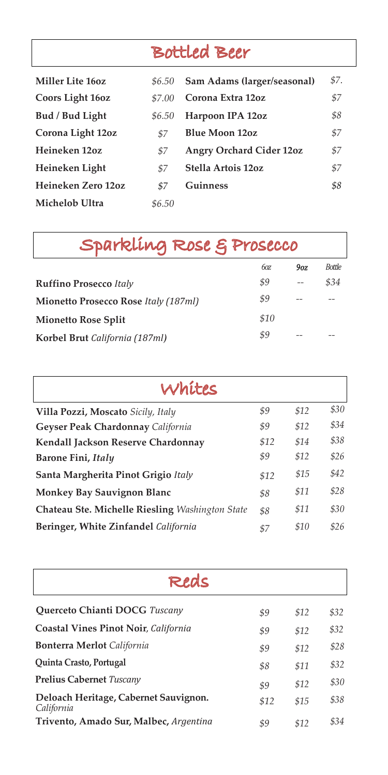# Bottled Beer

| Miller Lite 160z   | \$6.50 | Sam Adams (larger/seasonal)     | \$7. |
|--------------------|--------|---------------------------------|------|
| Coors Light 16oz   | \$7.00 | Corona Extra 12oz               | \$7  |
| Bud / Bud Light    | \$6.50 | Harpoon IPA 12oz                | \$8  |
| Corona Light 12oz  | \$7    | <b>Blue Moon 12oz</b>           | \$7  |
| Heineken 12oz      | \$7    | <b>Angry Orchard Cider 12oz</b> | \$7  |
| Heineken Light     | \$7    | Stella Artois 12oz              | \$7  |
| Heineken Zero 12oz | \$7    | Guinness                        | \$8  |
| Michelob Ultra     | \$6.50 |                                 |      |

| Sparkling Rose & Prosecco                   |      |     |               |  |  |  |
|---------------------------------------------|------|-----|---------------|--|--|--|
|                                             | 60Z  | 9oz | <b>Bottle</b> |  |  |  |
| <b>Ruffino Prosecco Italy</b>               | \$9  |     | \$34          |  |  |  |
| <b>Mionetto Prosecco Rose Italy (187ml)</b> | \$9  |     |               |  |  |  |
| <b>Mionetto Rose Split</b>                  | \$10 |     |               |  |  |  |
| Korbel Brut California (187ml)              | \$9  |     |               |  |  |  |

| Whites                                          |      |      |      |  |  |  |
|-------------------------------------------------|------|------|------|--|--|--|
| Villa Pozzi, Moscato Sicily, Italy              | \$9  | \$12 | \$30 |  |  |  |
| Geyser Peak Chardonnay California               | \$9  | \$12 | \$34 |  |  |  |
| Kendall Jackson Reserve Chardonnay              | \$12 | \$14 | \$38 |  |  |  |
| Barone Fini, Italy                              | \$9  | \$12 | \$26 |  |  |  |
| Santa Margherita Pinot Grigio Italy             | \$12 | \$15 | \$42 |  |  |  |
| <b>Monkey Bay Sauvignon Blanc</b>               |      | \$11 | \$28 |  |  |  |
| Chateau Ste. Michelle Riesling Washington State |      | \$11 | \$30 |  |  |  |
| Beringer, White Zinfandel California            |      | \$10 | \$26 |  |  |  |

| Redc                                                |      |      |      |  |  |  |
|-----------------------------------------------------|------|------|------|--|--|--|
| Querceto Chianti DOCG Tuscany                       | \$9  | \$12 | \$32 |  |  |  |
| Coastal Vines Pinot Noir, California                | \$9  | \$12 | \$32 |  |  |  |
| <b>Bonterra Merlot</b> California                   | \$9  | \$12 | \$28 |  |  |  |
| Quinta Crasto, Portugal                             | \$8  | \$11 | \$32 |  |  |  |
| <b>Prelius Cabernet Tuscany</b>                     | \$9  | \$12 | \$30 |  |  |  |
| Deloach Heritage, Cabernet Sauvignon.<br>California | \$12 | \$15 | \$38 |  |  |  |
| Trivento, Amado Sur, Malbec, Argentina              | \$9  | \$12 | \$34 |  |  |  |